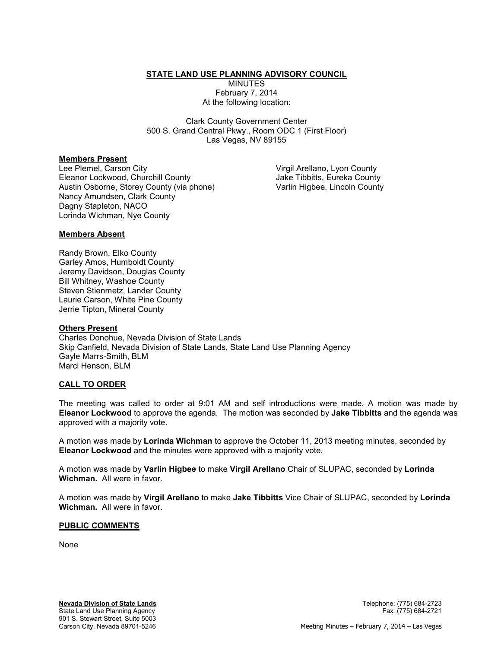**STATE LAND USE PLANNING ADVISORY COUNCIL** 

MINUTES February 7, 2014 At the following location:

Clark County Government Center 500 S. Grand Central Pkwy., Room ODC 1 (First Floor) Las Vegas, NV 89155

#### **Members Present**

Lee Plemel, Carson City Eleanor Lockwood, Churchill County Austin Osborne, Storey County (via phone) Nancy Amundsen, Clark County Dagny Stapleton, NACO Lorinda Wichman, Nye County

Virgil Arellano, Lyon County Jake Tibbitts, Eureka County Varlin Higbee, Lincoln County

### **Members Absent**

Randy Brown, Elko County Garley Amos, Humboldt County Jeremy Davidson, Douglas County Bill Whitney, Washoe County Steven Stienmetz, Lander County Laurie Carson, White Pine County Jerrie Tipton, Mineral County

#### **Others Present**

Charles Donohue, Nevada Division of State Lands Skip Canfield, Nevada Division of State Lands, State Land Use Planning Agency Gayle Marrs-Smith, BLM Marci Henson, BLM

### **CALL TO ORDER**

The meeting was called to order at 9:01 AM and self introductions were made. A motion was made by **Eleanor Lockwood** to approve the agenda. The motion was seconded by **Jake Tibbitts** and the agenda was approved with a majority vote.

A motion was made by **Lorinda Wichman** to approve the October 11, 2013 meeting minutes, seconded by **Eleanor Lockwood** and the minutes were approved with a majority vote.

A motion was made by **Varlin Higbee** to make **Virgil Arellano** Chair of SLUPAC, seconded by **Lorinda Wichman.** All were in favor.

A motion was made by **Virgil Arellano** to make **Jake Tibbitts** Vice Chair of SLUPAC, seconded by **Lorinda Wichman.** All were in favor.

### **PUBLIC COMMENTS**

None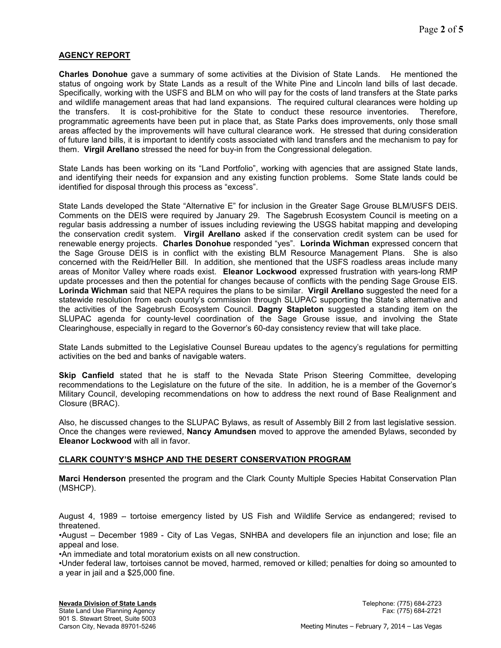### **AGENCY REPORT**

**Charles Donohue** gave a summary of some activities at the Division of State Lands. He mentioned the status of ongoing work by State Lands as a result of the White Pine and Lincoln land bills of last decade. Specifically, working with the USFS and BLM on who will pay for the costs of land transfers at the State parks and wildlife management areas that had land expansions. The required cultural clearances were holding up the transfers. It is cost-prohibitive for the State to conduct these resource inventories. Therefore, programmatic agreements have been put in place that, as State Parks does improvements, only those small areas affected by the improvements will have cultural clearance work. He stressed that during consideration of future land bills, it is important to identify costs associated with land transfers and the mechanism to pay for them. **Virgil Arellano** stressed the need for buy-in from the Congressional delegation.

State Lands has been working on its "Land Portfolio", working with agencies that are assigned State lands, and identifying their needs for expansion and any existing function problems. Some State lands could be identified for disposal through this process as "excess".

State Lands developed the State "Alternative E" for inclusion in the Greater Sage Grouse BLM/USFS DEIS. Comments on the DEIS were required by January 29. The Sagebrush Ecosystem Council is meeting on a regular basis addressing a number of issues including reviewing the USGS habitat mapping and developing the conservation credit system. **Virgil Arellano** asked if the conservation credit system can be used for renewable energy projects. **Charles Donohue** responded "yes". **Lorinda Wichman** expressed concern that the Sage Grouse DEIS is in conflict with the existing BLM Resource Management Plans. She is also concerned with the Reid/Heller Bill. In addition, she mentioned that the USFS roadless areas include many areas of Monitor Valley where roads exist. **Eleanor Lockwood** expressed frustration with years-long RMP update processes and then the potential for changes because of conflicts with the pending Sage Grouse EIS. **Lorinda Wichman** said that NEPA requires the plans to be similar. **Virgil Arellano** suggested the need for a statewide resolution from each county's commission through SLUPAC supporting the State's alternative and the activities of the Sagebrush Ecosystem Council. **Dagny Stapleton** suggested a standing item on the SLUPAC agenda for county-level coordination of the Sage Grouse issue, and involving the State Clearinghouse, especially in regard to the Governor's 60-day consistency review that will take place.

State Lands submitted to the Legislative Counsel Bureau updates to the agency's regulations for permitting activities on the bed and banks of navigable waters.

**Skip Canfield** stated that he is staff to the Nevada State Prison Steering Committee, developing recommendations to the Legislature on the future of the site. In addition, he is a member of the Governor's Military Council, developing recommendations on how to address the next round of Base Realignment and Closure (BRAC).

Also, he discussed changes to the SLUPAC Bylaws, as result of Assembly Bill 2 from last legislative session. Once the changes were reviewed, **Nancy Amundsen** moved to approve the amended Bylaws, seconded by **Eleanor Lockwood** with all in favor.

### **CLARK COUNTY'S MSHCP AND THE DESERT CONSERVATION PROGRAM**

**Marci Henderson** presented the program and the Clark County Multiple Species Habitat Conservation Plan (MSHCP).

August 4, 1989 – tortoise emergency listed by US Fish and Wildlife Service as endangered; revised to threatened.

•August – December 1989 - City of Las Vegas, SNHBA and developers file an injunction and lose; file an appeal and lose.

•An immediate and total moratorium exists on all new construction.

•Under federal law, tortoises cannot be moved, harmed, removed or killed; penalties for doing so amounted to a year in jail and a \$25,000 fine.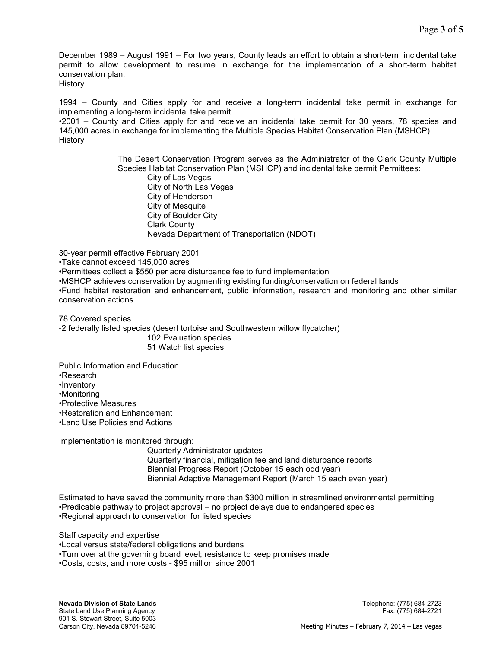December 1989 – August 1991 – For two years, County leads an effort to obtain a short-term incidental take permit to allow development to resume in exchange for the implementation of a short-term habitat conservation plan.

History

1994 – County and Cities apply for and receive a long-term incidental take permit in exchange for implementing a long-term incidental take permit.

•2001 – County and Cities apply for and receive an incidental take permit for 30 years, 78 species and 145,000 acres in exchange for implementing the Multiple Species Habitat Conservation Plan (MSHCP). History

> The Desert Conservation Program serves as the Administrator of the Clark County Multiple Species Habitat Conservation Plan (MSHCP) and incidental take permit Permittees:

 City of Las Vegas City of North Las Vegas City of Henderson City of Mesquite City of Boulder City Clark County Nevada Department of Transportation (NDOT)

30-year permit effective February 2001

•Take cannot exceed 145,000 acres

•Permittees collect a \$550 per acre disturbance fee to fund implementation

•MSHCP achieves conservation by augmenting existing funding/conservation on federal lands

•Fund habitat restoration and enhancement, public information, research and monitoring and other similar conservation actions

78 Covered species -2 federally listed species (desert tortoise and Southwestern willow flycatcher) 102 Evaluation species 51 Watch list species

Public Information and Education •Research •Inventory •Monitoring •Protective Measures •Restoration and Enhancement •Land Use Policies and Actions

Implementation is monitored through:

 Quarterly Administrator updates Quarterly financial, mitigation fee and land disturbance reports Biennial Progress Report (October 15 each odd year) Biennial Adaptive Management Report (March 15 each even year)

Estimated to have saved the community more than \$300 million in streamlined environmental permitting •Predicable pathway to project approval – no project delays due to endangered species •Regional approach to conservation for listed species

Staff capacity and expertise

•Local versus state/federal obligations and burdens

•Turn over at the governing board level; resistance to keep promises made

•Costs, costs, and more costs - \$95 million since 2001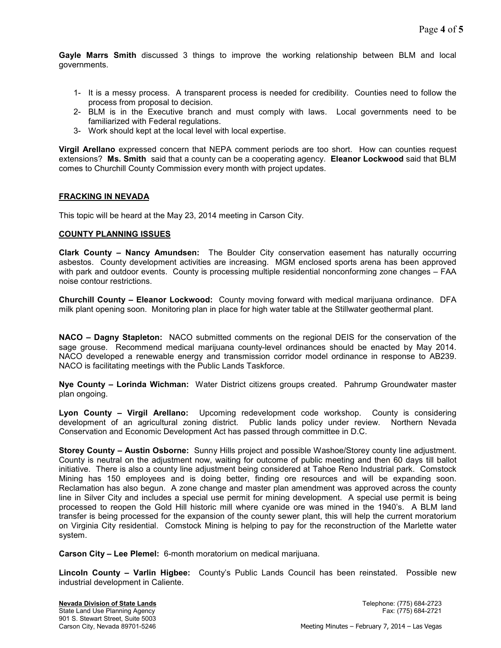**Gayle Marrs Smith** discussed 3 things to improve the working relationship between BLM and local governments.

- 1- It is a messy process. A transparent process is needed for credibility. Counties need to follow the process from proposal to decision.
- 2- BLM is in the Executive branch and must comply with laws. Local governments need to be familiarized with Federal regulations.
- 3- Work should kept at the local level with local expertise.

**Virgil Arellano** expressed concern that NEPA comment periods are too short. How can counties request extensions? **Ms. Smith** said that a county can be a cooperating agency. **Eleanor Lockwood** said that BLM comes to Churchill County Commission every month with project updates.

### **FRACKING IN NEVADA**

This topic will be heard at the May 23, 2014 meeting in Carson City.

### **COUNTY PLANNING ISSUES**

**Clark County – Nancy Amundsen:** The Boulder City conservation easement has naturally occurring asbestos. County development activities are increasing. MGM enclosed sports arena has been approved with park and outdoor events. County is processing multiple residential nonconforming zone changes – FAA noise contour restrictions.

**Churchill County – Eleanor Lockwood:** County moving forward with medical marijuana ordinance. DFA milk plant opening soon. Monitoring plan in place for high water table at the Stillwater geothermal plant.

**NACO – Dagny Stapleton:** NACO submitted comments on the regional DEIS for the conservation of the sage grouse. Recommend medical marijuana county-level ordinances should be enacted by May 2014. NACO developed a renewable energy and transmission corridor model ordinance in response to AB239. NACO is facilitating meetings with the Public Lands Taskforce.

**Nye County – Lorinda Wichman:** Water District citizens groups created. Pahrump Groundwater master plan ongoing.

**Lyon County – Virgil Arellano:** Upcoming redevelopment code workshop. County is considering development of an agricultural zoning district. Public lands policy under review. Northern Nevada Conservation and Economic Development Act has passed through committee in D.C.

**Storey County – Austin Osborne:** Sunny Hills project and possible Washoe/Storey county line adjustment. County is neutral on the adjustment now, waiting for outcome of public meeting and then 60 days till ballot initiative. There is also a county line adjustment being considered at Tahoe Reno Industrial park. Comstock Mining has 150 employees and is doing better, finding ore resources and will be expanding soon. Reclamation has also begun. A zone change and master plan amendment was approved across the county line in Silver City and includes a special use permit for mining development. A special use permit is being processed to reopen the Gold Hill historic mill where cyanide ore was mined in the 1940's. A BLM land transfer is being processed for the expansion of the county sewer plant, this will help the current moratorium on Virginia City residential. Comstock Mining is helping to pay for the reconstruction of the Marlette water system.

**Carson City – Lee Plemel:** 6-month moratorium on medical marijuana.

**Lincoln County – Varlin Higbee:** County's Public Lands Council has been reinstated. Possible new industrial development in Caliente.

## **Nevada Division of State Lands** Telephone: (775) 684-2723 State Land Use Planning Agency Fax: (775) 684-2721 901 S. Stewart Street, Suite 5003